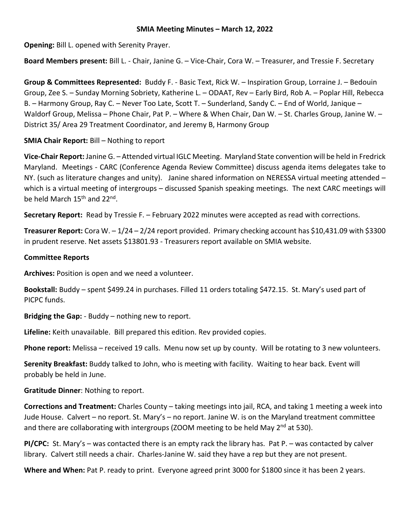### **SMIA Meeting Minutes – March 12, 2022**

**Opening:** Bill L. opened with Serenity Prayer.

**Board Members present:** Bill L. - Chair, Janine G. – Vice-Chair, Cora W. – Treasurer, and Tressie F. Secretary

**Group & Committees Represented:** Buddy F. - Basic Text, Rick W. – Inspiration Group, Lorraine J. – Bedouin Group, Zee S. – Sunday Morning Sobriety, Katherine L. – ODAAT, Rev – Early Bird, Rob A. – Poplar Hill, Rebecca B. – Harmony Group, Ray C. – Never Too Late, Scott T. – Sunderland, Sandy C. – End of World, Janique – Waldorf Group, Melissa – Phone Chair, Pat P. – Where & When Chair, Dan W. – St. Charles Group, Janine W. – District 35/ Area 29 Treatment Coordinator, and Jeremy B, Harmony Group

**SMIA Chair Report:** Bill – Nothing to report

**Vice-Chair Report:** Janine G. – Attended virtual IGLC Meeting. Maryland State convention will be held in Fredrick Maryland. Meetings - CARC (Conference Agenda Review Committee) discuss agenda items delegates take to NY. (such as literature changes and unity). Janine shared information on NERESSA virtual meeting attended – which is a virtual meeting of intergroups – discussed Spanish speaking meetings. The next CARC meetings will be held March 15<sup>th</sup> and 22<sup>nd</sup>.

**Secretary Report:** Read by Tressie F. – February 2022 minutes were accepted as read with corrections.

**Treasurer Report:** Cora W. – 1/24 – 2/24 report provided. Primary checking account has \$10,431.09 with \$3300 in prudent reserve. Net assets \$13801.93 - Treasurers report available on SMIA website.

## **Committee Reports**

**Archives:** Position is open and we need a volunteer.

**Bookstall:** Buddy – spent \$499.24 in purchases. Filled 11 orders totaling \$472.15. St. Mary's used part of PICPC funds.

**Bridging the Gap:** - Buddy – nothing new to report.

**Lifeline:** Keith unavailable. Bill prepared this edition. Rev provided copies.

**Phone report:** Melissa – received 19 calls. Menu now set up by county. Will be rotating to 3 new volunteers.

**Serenity Breakfast:** Buddy talked to John, who is meeting with facility. Waiting to hear back. Event will probably be held in June.

# **Gratitude Dinner**: Nothing to report.

**Corrections and Treatment:** Charles County – taking meetings into jail, RCA, and taking 1 meeting a week into Jude House. Calvert – no report. St. Mary's – no report. Janine W. is on the Maryland treatment committee and there are collaborating with intergroups (ZOOM meeting to be held May 2<sup>nd</sup> at 530).

**PI/CPC:** St. Mary's – was contacted there is an empty rack the library has. Pat P. – was contacted by calver library. Calvert still needs a chair. Charles-Janine W. said they have a rep but they are not present.

**Where and When:** Pat P. ready to print. Everyone agreed print 3000 for \$1800 since it has been 2 years.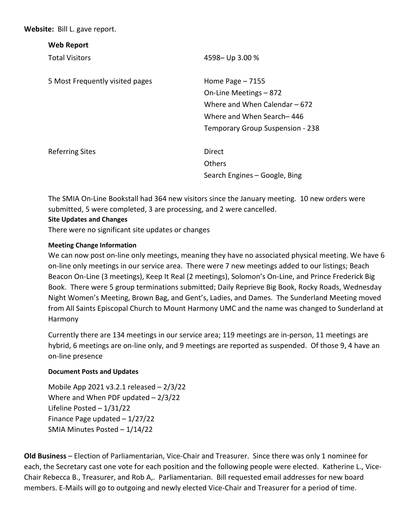**Website:** Bill L. gave report.

| <b>Web Report</b>               |                                  |
|---------------------------------|----------------------------------|
| <b>Total Visitors</b>           | 4598 - Up 3.00 %                 |
| 5 Most Frequently visited pages | Home Page $-7155$                |
|                                 | On-Line Meetings – 872           |
|                                 | Where and When Calendar – 672    |
|                                 | Where and When Search-446        |
|                                 | Temporary Group Suspension - 238 |
| <b>Referring Sites</b>          | Direct                           |
|                                 | <b>Others</b>                    |
|                                 | Search Engines - Google, Bing    |
|                                 |                                  |

The SMIA On-Line Bookstall had 364 new visitors since the January meeting. 10 new orders were submitted, 5 were completed, 3 are processing, and 2 were cancelled.

### **Site Updates and Changes**

There were no significant site updates or changes

#### **Meeting Change Information**

We can now post on-line only meetings, meaning they have no associated physical meeting. We have 6 on-line only meetings in our service area. There were 7 new meetings added to our listings; Beach Beacon On-Line (3 meetings), Keep It Real (2 meetings), Solomon's On-Line, and Prince Frederick Big Book. There were 5 group terminations submitted; Daily Reprieve Big Book, Rocky Roads, Wednesday Night Women's Meeting, Brown Bag, and Gent's, Ladies, and Dames. The Sunderland Meeting moved from All Saints Episcopal Church to Mount Harmony UMC and the name was changed to Sunderland at Harmony

Currently there are 134 meetings in our service area; 119 meetings are in-person, 11 meetings are hybrid, 6 meetings are on-line only, and 9 meetings are reported as suspended. Of those 9, 4 have an on-line presence

### **Document Posts and Updates**

Mobile App 2021 v3.2.1 released – 2/3/22 Where and When PDF updated – 2/3/22 Lifeline Posted – 1/31/22 Finance Page updated – 1/27/22 SMIA Minutes Posted – 1/14/22

**Old Business** – Election of Parliamentarian, Vice-Chair and Treasurer. Since there was only 1 nominee for each, the Secretary cast one vote for each position and the following people were elected. Katherine L., Vice-Chair Rebecca B., Treasurer, and Rob A,. Parliamentarian. Bill requested email addresses for new board members. E-Mails will go to outgoing and newly elected Vice-Chair and Treasurer for a period of time.